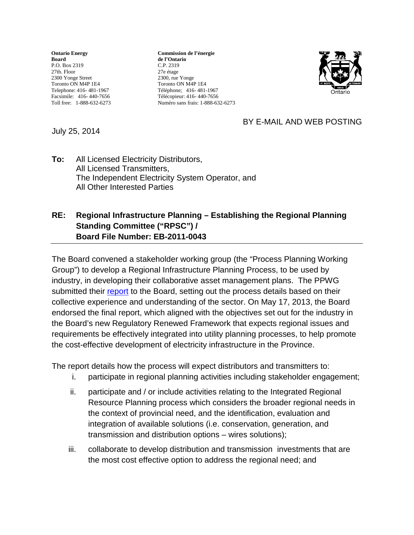**Ontario Energy Board** P.O. Box 2319 27th. Floor 2300 Yonge Street Toronto ON M4P 1E4 Telephone: 416- 481-1967 Facsimile: 416- 440-7656 Toll free: 1-888-632-6273

**Commission de l'énergie de l'Ontario** C.P. 2319 27e étage 2300, rue Yonge Toronto ON M4P 1E4 Téléphone; 416- 481-1967 Télécopieur: 416- 440-7656 Numéro sans frais: 1-888-632-6273



## BY E-MAIL AND WEB POSTING

July 25, 2014

**To:** All Licensed Electricity Distributors, All Licensed Transmitters, The Independent Electricity System Operator, and All Other Interested Parties

## **RE: Regional Infrastructure Planning – Establishing the Regional Planning Standing Committee ("RPSC") / Board File Number: EB-2011-0043**

The Board convened a stakeholder working group (the "Process Planning Working Group") to develop a Regional Infrastructure Planning Process, to be used by industry, in developing their collaborative asset management plans. The PPWG submitted their [report](http://www.ontarioenergyboard.ca/OEB/Industry/Regulatory%20Proceedings/Policy%20Initiatives%20and%20Consultations/Regional%20Planning/Regional%20Infrastructure%20Planning%20-%20Working%20Groups#20130517) to the Board, setting out the process details based on their collective experience and understanding of the sector. On May 17, 2013, the Board endorsed the final report, which aligned with the objectives set out for the industry in the Board's new Regulatory Renewed Framework that expects regional issues and requirements be effectively integrated into utility planning processes, to help promote the cost-effective development of electricity infrastructure in the Province.

The report details how the process will expect distributors and transmitters to:

- i. participate in regional planning activities including stakeholder engagement;
- ii. participate and / or include activities relating to the Integrated Regional Resource Planning process which considers the broader regional needs in the context of provincial need, and the identification, evaluation and integration of available solutions (i.e. conservation, generation, and transmission and distribution options – wires solutions);
- iii. collaborate to develop distribution and transmission investments that are the most cost effective option to address the regional need; and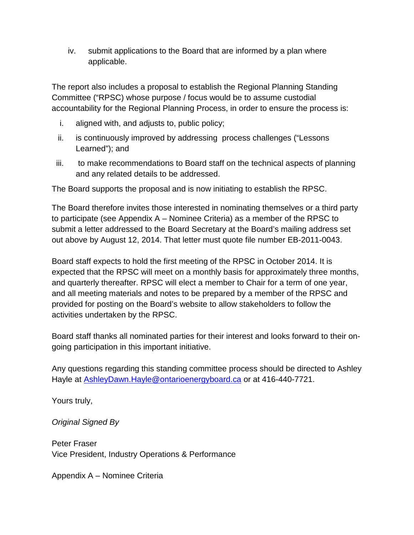iv. submit applications to the Board that are informed by a plan where applicable.

The report also includes a proposal to establish the Regional Planning Standing Committee ("RPSC) whose purpose / focus would be to assume custodial accountability for the Regional Planning Process, in order to ensure the process is:

- i. aligned with, and adjusts to, public policy;
- ii. is continuously improved by addressing process challenges ("Lessons Learned"); and
- iii. to make recommendations to Board staff on the technical aspects of planning and any related details to be addressed.

The Board supports the proposal and is now initiating to establish the RPSC.

The Board therefore invites those interested in nominating themselves or a third party to participate (see Appendix A – Nominee Criteria) as a member of the RPSC to submit a letter addressed to the Board Secretary at the Board's mailing address set out above by August 12, 2014. That letter must quote file number EB-2011-0043.

Board staff expects to hold the first meeting of the RPSC in October 2014. It is expected that the RPSC will meet on a monthly basis for approximately three months, and quarterly thereafter. RPSC will elect a member to Chair for a term of one year, and all meeting materials and notes to be prepared by a member of the RPSC and provided for posting on the Board's website to allow stakeholders to follow the activities undertaken by the RPSC.

Board staff thanks all nominated parties for their interest and looks forward to their ongoing participation in this important initiative.

Any questions regarding this standing committee process should be directed to Ashley Hayle at [AshleyDawn.Hayle@ontarioenergyboard.ca](mailto:AshleyDawn.Hayle@ontarioenergyboard.ca) or at 416-440-7721.

Yours truly,

*Original Signed By*

Peter Fraser Vice President, Industry Operations & Performance

Appendix A – Nominee Criteria